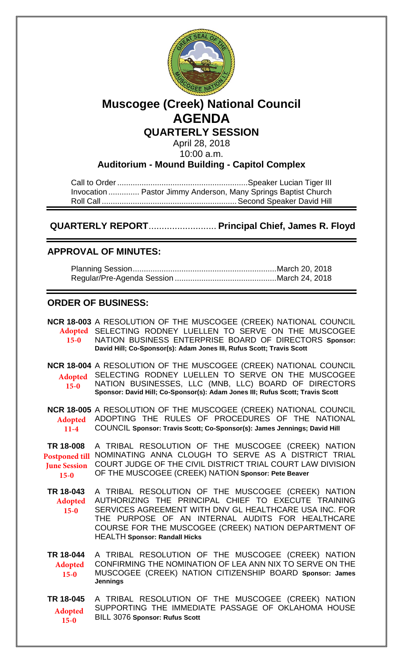

# **Muscogee (Creek) National Council AGENDA**

**QUARTERLY SESSION**

April 28, 2018 10:00 a.m.

**Auditorium - Mound Building - Capitol Complex**

Call to Order ........................................................... Speaker Lucian Tiger III Invocation .............. Pastor Jimmy Anderson, Many Springs Baptist Church Roll Call ............................................................. Second Speaker David Hill

 **QUARTERLY REPORT**.......................... **Principal Chief, James R. Floyd** 

## **APPROVAL OF MINUTES:**

Planning Session ................................................................. March 20, 2018 Regular/Pre-Agenda Session .............................................. March 24, 2018

## **ORDER OF BUSINESS:**

| $15-0$                                                              | NCR 18-003 A RESOLUTION OF THE MUSCOGEE (CREEK) NATIONAL COUNCIL<br>Adopted SELECTING RODNEY LUELLEN TO SERVE ON THE MUSCOGEE<br>NATION BUSINESS ENTERPRISE BOARD OF DIRECTORS Sponsor:<br>David Hill; Co-Sponsor(s): Adam Jones III, Rufus Scott; Travis Scott                                                         |
|---------------------------------------------------------------------|-------------------------------------------------------------------------------------------------------------------------------------------------------------------------------------------------------------------------------------------------------------------------------------------------------------------------|
| <b>Adopted</b><br>$15-0$                                            | NCR 18-004 A RESOLUTION OF THE MUSCOGEE (CREEK) NATIONAL COUNCIL<br>SELECTING RODNEY LUELLEN TO SERVE ON THE MUSCOGEE<br>NATION BUSINESSES, LLC (MNB, LLC) BOARD OF DIRECTORS<br>Sponsor: David Hill; Co-Sponsor(s): Adam Jones III; Rufus Scott; Travis Scott                                                          |
| <b>Adopted</b><br>$11-4$                                            | NCR 18-005 A RESOLUTION OF THE MUSCOGEE (CREEK) NATIONAL COUNCIL<br>ADOPTING THE RULES OF PROCEDURES OF THE NATIONAL<br>COUNCIL Sponsor: Travis Scott; Co-Sponsor(s): James Jennings; David Hill                                                                                                                        |
| TR 18-008<br><b>Postponed till</b><br><b>June Session</b><br>$15-0$ | A TRIBAL RESOLUTION OF THE MUSCOGEE (CREEK) NATION<br>NOMINATING ANNA CLOUGH TO SERVE AS A DISTRICT TRIAL<br>COURT JUDGE OF THE CIVIL DISTRICT TRIAL COURT LAW DIVISION<br>OF THE MUSCOGEE (CREEK) NATION Sponsor: Pete Beaver                                                                                          |
| TR 18-043<br><b>Adopted</b><br>$15-0$                               | A TRIBAL RESOLUTION OF THE MUSCOGEE (CREEK) NATION<br>AUTHORIZING THE PRINCIPAL CHIEF TO EXECUTE TRAINING<br>SERVICES AGREEMENT WITH DNV GL HEALTHCARE USA INC. FOR<br>THE PURPOSE OF AN INTERNAL AUDITS FOR HEALTHCARE<br>COURSE FOR THE MUSCOGEE (CREEK) NATION DEPARTMENT OF<br><b>HEALTH Sponsor: Randall Hicks</b> |
| TR 18-044<br><b>Adopted</b><br>$15-0$                               | A TRIBAL RESOLUTION OF THE MUSCOGEE (CREEK) NATION<br>CONFIRMING THE NOMINATION OF LEA ANN NIX TO SERVE ON THE<br>MUSCOGEE (CREEK) NATION CITIZENSHIP BOARD Sponsor: James<br><b>Jennings</b>                                                                                                                           |
| TR 18-045<br><b>Adopted</b><br>$15 - 0$                             | A TRIBAL RESOLUTION OF THE MUSCOGEE (CREEK) NATION<br>SUPPORTING THE IMMEDIATE PASSAGE OF OKLAHOMA HOUSE<br>BILL 3076 Sponsor: Rufus Scott                                                                                                                                                                              |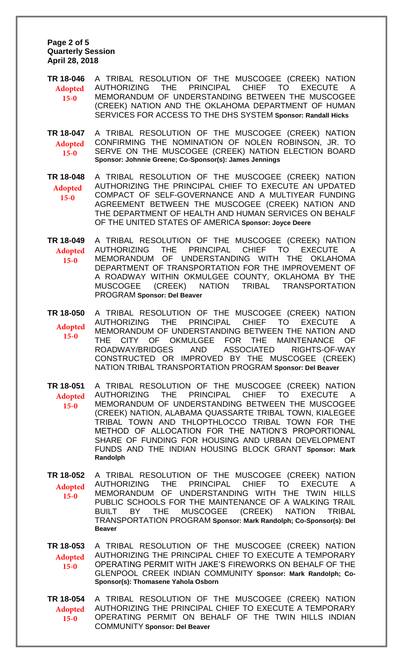**Page 2 of 5 Quarterly Session April 28, 2018** 

**TR 18-046** A TRIBAL RESOLUTION OF THE MUSCOGEE (CREEK) NATION AUTHORIZING THE PRINCIPAL CHIEF TO EXECUTE A MEMORANDUM OF UNDERSTANDING BETWEEN THE MUSCOGEE (CREEK) NATION AND THE OKLAHOMA DEPARTMENT OF HUMAN SERVICES FOR ACCESS TO THE DHS SYSTEM **Sponsor: Randall Hicks Adopted 15-0**

**TR 18-047** A TRIBAL RESOLUTION OF THE MUSCOGEE (CREEK) NATION CONFIRMING THE NOMINATION OF NOLEN ROBINSON, JR. TO SERVE ON THE MUSCOGEE (CREEK) NATION ELECTION BOARD **Sponsor: Johnnie Greene; Co-Sponsor(s): James Jennings Adopted 15-0**

**TR 18-048** A TRIBAL RESOLUTION OF THE MUSCOGEE (CREEK) NATION AUTHORIZING THE PRINCIPAL CHIEF TO EXECUTE AN UPDATED COMPACT OF SELF-GOVERNANCE AND A MULTIYEAR FUNDING AGREEMENT BETWEEN THE MUSCOGEE (CREEK) NATION AND THE DEPARTMENT OF HEALTH AND HUMAN SERVICES ON BEHALF OF THE UNITED STATES OF AMERICA **Sponsor: Joyce Deere Adopted 15-0**

**TR 18-049** A TRIBAL RESOLUTION OF THE MUSCOGEE (CREEK) NATION AUTHORIZING THE PRINCIPAL CHIEF TO EXECUTE A MEMORANDUM OF UNDERSTANDING WITH THE OKLAHOMA DEPARTMENT OF TRANSPORTATION FOR THE IMPROVEMENT OF A ROADWAY WITHIN OKMULGEE COUNTY, OKLAHOMA BY THE MUSCOGEE (CREEK) NATION TRIBAL TRANSPORTATION PROGRAM **Sponsor: Del Beaver Adopted 15-0**

**TR 18-050** A TRIBAL RESOLUTION OF THE MUSCOGEE (CREEK) NATION AUTHORIZING THE PRINCIPAL CHIEF TO EXECUTE A MEMORANDUM OF UNDERSTANDING BETWEEN THE NATION AND THE CITY OF OKMULGEE FOR THE MAINTENANCE OF ROADWAY/BRIDGES AND ASSOCIATED RIGHTS-OF-WAY CONSTRUCTED OR IMPROVED BY THE MUSCOGEE (CREEK) NATION TRIBAL TRANSPORTATION PROGRAM **Sponsor: Del Beaver Adopted 15-0**

**TR 18-051** A TRIBAL RESOLUTION OF THE MUSCOGEE (CREEK) NATION AUTHORIZING THE PRINCIPAL CHIEF TO EXECUTE A MEMORANDUM OF UNDERSTANDING BETWEEN THE MUSCOGEE (CREEK) NATION, ALABAMA QUASSARTE TRIBAL TOWN, KIALEGEE TRIBAL TOWN AND THLOPTHLOCCO TRIBAL TOWN FOR THE METHOD OF ALLOCATION FOR THE NATION'S PROPORTIONAL SHARE OF FUNDING FOR HOUSING AND URBAN DEVELOPMENT FUNDS AND THE INDIAN HOUSING BLOCK GRANT **Sponsor: Mark Randolph Adopted 15-0**

**TR 18-052** A TRIBAL RESOLUTION OF THE MUSCOGEE (CREEK) NATION AUTHORIZING THE PRINCIPAL CHIEF TO EXECUTE A MEMORANDUM OF UNDERSTANDING WITH THE TWIN HILLS PUBLIC SCHOOLS FOR THE MAINTENANCE OF A WALKING TRAIL BUILT BY THE MUSCOGEE (CREEK) NATION TRIBAL TRANSPORTATION PROGRAM **Sponsor: Mark Randolph; Co-Sponsor(s): Del Beaver Adopted 15-0**

**TR 18-053** A TRIBAL RESOLUTION OF THE MUSCOGEE (CREEK) NATION AUTHORIZING THE PRINCIPAL CHIEF TO EXECUTE A TEMPORARY OPERATING PERMIT WITH JAKE'S FIREWORKS ON BEHALF OF THE GLENPOOL CREEK INDIAN COMMUNITY **Sponsor: Mark Randolph; Co-Sponsor(s): Thomasene Yahola Osborn Adopted 15-0**

**TR 18-054** A TRIBAL RESOLUTION OF THE MUSCOGEE (CREEK) NATION AUTHORIZING THE PRINCIPAL CHIEF TO EXECUTE A TEMPORARY OPERATING PERMIT ON BEHALF OF THE TWIN HILLS INDIAN COMMUNITY **Sponsor: Del Beaver Adopted 15-0**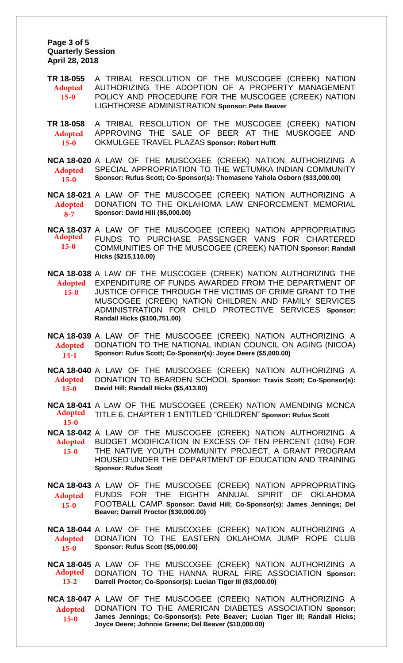**Page 3 of 5 Quarterly Session April 28, 2018** 

**TR 18-055** A TRIBAL RESOLUTION OF THE MUSCOGEE (CREEK) NATION AUTHORIZING THE ADOPTION OF A PROPERTY MANAGEMENT POLICY AND PROCEDURE FOR THE MUSCOGEE (CREEK) NATION LIGHTHORSE ADMINISTRATION **Sponsor: Pete Beaver Adopted 15-0**

**TR 18-058** A TRIBAL RESOLUTION OF THE MUSCOGEE (CREEK) NATION APPROVING THE SALE OF BEER AT THE MUSKOGEE AND OKMULGEE TRAVEL PLAZAS **Sponsor: Robert Hufft Adopted 15-0**

**NCA 18-020** A LAW OF THE MUSCOGEE (CREEK) NATION AUTHORIZING A SPECIAL APPROPRIATION TO THE WETUMKA INDIAN COMMUNITY **Sponsor: Rufus Scott; Co-Sponsor(s): Thomasene Yahola Osborn (\$33,000.00) Adopted 15-0**

**NCA 18-021** A LAW OF THE MUSCOGEE (CREEK) NATION AUTHORIZING A DONATION TO THE OKLAHOMA LAW ENFORCEMENT MEMORIAL **Sponsor: David Hill (\$5,000.00) Adopted 8-7**

**NCA 18-037** A LAW OF THE MUSCOGEE (CREEK) NATION APPROPRIATING FUNDS TO PURCHASE PASSENGER VANS FOR CHARTERED **Adopted** COMMUNITIES OF THE MUSCOGEE (CREEK) NATION **Sponsor: Randall Hicks (\$215,110.00) 15-0**

**NCA 18-038** A LAW OF THE MUSCOGEE (CREEK) NATION AUTHORIZING THE EXPENDITURE OF FUNDS AWARDED FROM THE DEPARTMENT OF JUSTICE OFFICE THROUGH THE VICTIMS OF CRIME GRANT TO THE MUSCOGEE (CREEK) NATION CHILDREN AND FAMILY SERVICES ADMINISTRATION FOR CHILD PROTECTIVE SERVICES **Sponsor: Randall Hicks (\$100,751.00) Adopted 15-0**

**NCA 18-039** A LAW OF THE MUSCOGEE (CREEK) NATION AUTHORIZING A DONATION TO THE NATIONAL INDIAN COUNCIL ON AGING (NICOA) **Sponsor: Rufus Scott; Co-Sponsor(s): Joyce Deere (\$5,000.00) Adopted 14-1**

**NCA 18-040** A LAW OF THE MUSCOGEE (CREEK) NATION AUTHORIZING A DONATION TO BEARDEN SCHOOL **Sponsor: Travis Scott; Co-Sponsor(s): David Hill; Randall Hicks (\$5,413.80) Adopted 15-0**

**NCA 18-041** A LAW OF THE MUSCOGEE (CREEK) NATION AMENDING MCNCA TITLE 6, CHAPTER 1 ENTITLED "CHILDREN" **Sponsor: Rufus Scott Adopted 15-0**

**NCA 18-042** A LAW OF THE MUSCOGEE (CREEK) NATION AUTHORIZING A BUDGET MODIFICATION IN EXCESS OF TEN PERCENT (10%) FOR **Adopted** THE NATIVE YOUTH COMMUNITY PROJECT, A GRANT PROGRAM HOUSED UNDER THE DEPARTMENT OF EDUCATION AND TRAINING **Sponsor: Rufus Scott 15-0**

**NCA 18-043** A LAW OF THE MUSCOGEE (CREEK) NATION APPROPRIATING FUNDS FOR THE EIGHTH ANNUAL SPIRIT OF OKLAHOMA **Adopted** FOOTBALL CAMP **Sponsor: David Hill; Co-Sponsor(s): James Jennings; Del Beaver; Darrell Proctor (\$30,000.00) 15-0**

**NCA 18-044** A LAW OF THE MUSCOGEE (CREEK) NATION AUTHORIZING A DONATION TO THE EASTERN OKLAHOMA JUMP ROPE CLUB **Sponsor: Rufus Scott (\$5,000.00) Adopted 15-0**

**NCA 18-045** A LAW OF THE MUSCOGEE (CREEK) NATION AUTHORIZING A DONATION TO THE HANNA RURAL FIRE ASSOCIATION **Sponsor: Darrell Proctor; Co-Sponsor(s): Lucian Tiger III (\$3,000.00) Adopted 13-2**

**NCA 18-047** A LAW OF THE MUSCOGEE (CREEK) NATION AUTHORIZING A DONATION TO THE AMERICAN DIABETES ASSOCIATION **Sponsor: James Jennings; Co-Sponsor(s): Pete Beaver; Lucian Tiger III; Randall Hicks; Joyce Deere; Johnnie Greene; Del Beaver (\$10,000.00) Adopted 15-0**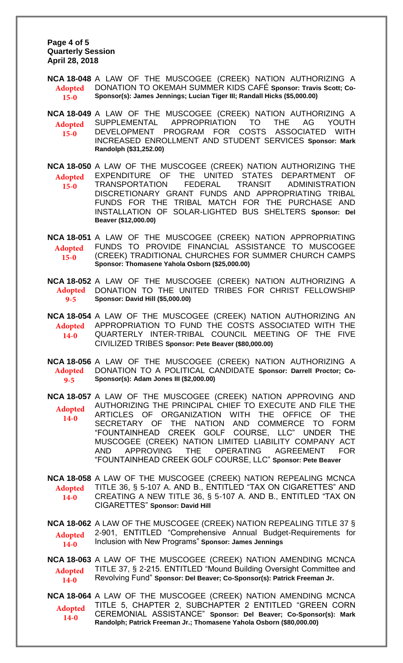**Page 4 of 5 Quarterly Session April 28, 2018** 

**NCA 18-048** A LAW OF THE MUSCOGEE (CREEK) NATION AUTHORIZING A DONATION TO OKEMAH SUMMER KIDS CAFÉ **Sponsor: Travis Scott; Co-Sponsor(s): James Jennings; Lucian Tiger III; Randall Hicks (\$5,000.00) Adopted 15-0**

**NCA 18-049** A LAW OF THE MUSCOGEE (CREEK) NATION AUTHORIZING A SUPPLEMENTAL APPROPRIATION TO THE AG YOUTH DEVELOPMENT PROGRAM FOR COSTS ASSOCIATED WITH INCREASED ENROLLMENT AND STUDENT SERVICES **Sponsor: Mark Randolph (\$31,252.00) Adopted 15-0**

**NCA 18-050** A LAW OF THE MUSCOGEE (CREEK) NATION AUTHORIZING THE EXPENDITURE OF THE UNITED STATES DEPARTMENT OF TRANSPORTATION FEDERAL TRANSIT ADMINISTRATION DISCRETIONARY GRANT FUNDS AND APPROPRIATING TRIBAL FUNDS FOR THE TRIBAL MATCH FOR THE PURCHASE AND INSTALLATION OF SOLAR-LIGHTED BUS SHELTERS **Sponsor: Del Beaver (\$12,000.00) Adopted 15-0**

**NCA 18-051** A LAW OF THE MUSCOGEE (CREEK) NATION APPROPRIATING FUNDS TO PROVIDE FINANCIAL ASSISTANCE TO MUSCOGEE (CREEK) TRADITIONAL CHURCHES FOR SUMMER CHURCH CAMPS **Sponsor: Thomasene Yahola Osborn (\$25,000.00) Adopted 15-0**

**NCA 18-052** A LAW OF THE MUSCOGEE (CREEK) NATION AUTHORIZING A Adopted DONATION TO THE UNITED TRIBES FOR CHRIST FELLOWSHIP **Sponsor: David Hill (\$5,000.00) 9-5**

**NCA 18-054** A LAW OF THE MUSCOGEE (CREEK) NATION AUTHORIZING AN APPROPRIATION TO FUND THE COSTS ASSOCIATED WITH THE QUARTERLY INTER-TRIBAL COUNCIL MEETING OF THE FIVE CIVILIZED TRIBES **Sponsor: Pete Beaver (\$80,000.00) Adopted 14-0**

**NCA 18-056** A LAW OF THE MUSCOGEE (CREEK) NATION AUTHORIZING A DONATION TO A POLITICAL CANDIDATE **Sponsor: Darrell Proctor; Co-Sponsor(s): Adam Jones III (\$2,000.00) Adopted 9-5**

**NCA 18-057** A LAW OF THE MUSCOGEE (CREEK) NATION APPROVING AND AUTHORIZING THE PRINCIPAL CHIEF TO EXECUTE AND FILE THE ARTICLES OF ORGANIZATION WITH THE OFFICE OF THE SECRETARY OF THE NATION AND COMMERCE TO FORM "FOUNTAINHEAD CREEK GOLF COURSE, LLC" UNDER THE MUSCOGEE (CREEK) NATION LIMITED LIABILITY COMPANY ACT AND APPROVING THE OPERATING AGREEMENT FOR "FOUNTAINHEAD CREEK GOLF COURSE, LLC" **Sponsor: Pete Beaver Adopted 14-0**

**NCA 18-058** A LAW OF THE MUSCOGEE (CREEK) NATION REPEALING MCNCA TITLE 36, § 5-107 A. AND B., ENTITLED "TAX ON CIGARETTES" AND CREATING A NEW TITLE 36, § 5-107 A. AND B., ENTITLED "TAX ON CIGARETTES" **Sponsor: David Hill Adopted 14-0**

**NCA 18-062** A LAW OF THE MUSCOGEE (CREEK) NATION REPEALING TITLE 37 § 2-901, ENTITLED "Comprehensive Annual Budget-Requirements for Inclusion with New Programs" **Sponsor: James Jennings Adopted 14-0**

**NCA 18-063** A LAW OF THE MUSCOGEE (CREEK) NATION AMENDING MCNCA TITLE 37, § 2-215. ENTITLED "Mound Building Oversight Committee and Revolving Fund" **Sponsor: Del Beaver; Co-Sponsor(s): Patrick Freeman Jr. Adopted 14-0**

**NCA 18-064** A LAW OF THE MUSCOGEE (CREEK) NATION AMENDING MCNCA TITLE 5, CHAPTER 2, SUBCHAPTER 2 ENTITLED "GREEN CORN CEREMONIAL ASSISTANCE" **Sponsor: Del Beaver; Co-Sponsor(s): Mark Randolph; Patrick Freeman Jr.; Thomasene Yahola Osborn (\$80,000.00) Adopted 14-0**